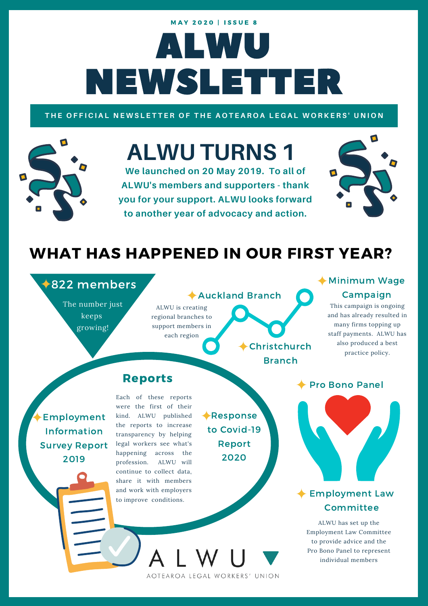# ALWU NEWSLETTER **MAY 2020 | ISSUE 8**

### THE OFFICIAL NEWSLETTER OF THE AOTEAROA LEGAL WORKERS' UNION

# **ALWU TURNS 1**

**We launched on 20 May 2019. To all of ALWU's members and supporters - thank you for your support. ALWU looks forward to another year of advocacy and action.**



# WHAT HAS HAPPENED IN OUR FIRST YEAR?

# **◆822 members**

The number just keeps growing!

### ALWU is creating regional branches to support members in each region Auckland Branch

Christchurch Branch

# Minimum Wage Campaign

This campaign is ongoing and has already resulted in many firms topping up staff payments. ALWU has also produced a best practice policy.

Employment Information Survey Report 2019

Each of these reports were the first of their kind. ALWU published the reports to increase transparency by helping legal workers see what's happening across the profession. ALWU will continue to collect data, share it with members and work with employers to improve conditions.

Reports

Response to Covid-19 Report 2020

Pro Bono Panel

# **Employment Law**

# Committee

ALWU has set up the Employment Law Committee to provide advice and the Pro Bono Panel to represent individual members

AOTEAROA LEGAL WORKERS' UNION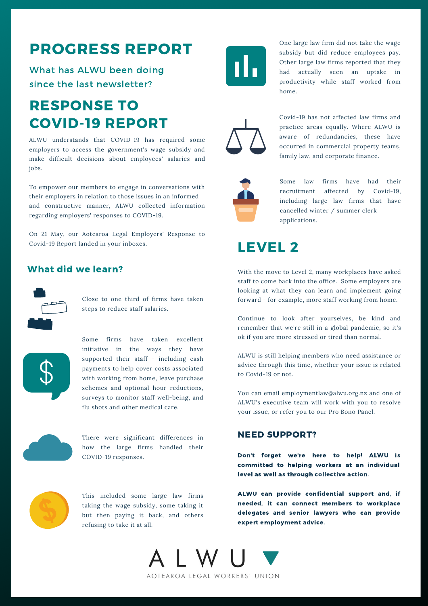# PROGRESS REPORT

What has ALWU been doing since the last newsletter?

# RESPONSE TO COVID-19 REPORT

ALWU understands that COVID-19 has required some employers to access the government's wage subsidy and make difficult decisions about employees' salaries and jobs.

To empower our members to engage in conversations with their employers in relation to those issues in an informed and constructive manner, ALWU collected information regarding employers' responses to COVID-19.

On 21 May, our Aotearoa Legal Employers' Response to Covid-19 Report landed in your inboxes.

### What did we learn?



Close to one third of firms have taken steps to reduce staff salaries.



Some firms have taken excellent initiative in the ways they have supported their staff - including cash payments to help cover costs associated with working from home, leave purchase schemes and optional hour reductions, surveys to monitor staff well-being, and flu shots and other medical care.



There were significant differences in how the large firms handled their COVID-19 responses.



This included some large law firms taking the wage subsidy, some taking it but then paying it back, and others refusing to take it at all.



One large law firm did not take the wage subsidy but did reduce employees pay. Other large law firms reported that they had actually seen an uptake in productivity while staff worked from home.



Covid-19 has not affected law firms and practice areas equally. Where ALWU is aware of redundancies, these have occurred in commercial property teams, family law, and corporate finance.



Some law firms have had their recruitment affected by Covid-19, including large law firms that have cancelled winter / summer clerk applications.



With the move to Level 2, many workplaces have asked staff to come back into the office. Some employers are looking at what they can learn and implement going forward - for example, more staff working from home.

Continue to look after yourselves, be kind and remember that we're still in a global pandemic, so it's ok if you are more stressed or tired than normal.

ALWU is still helping members who need assistance or advice through this time, whether your issue is related to Covid-19 or not.

You can email employmentlaw@alwu.org.nz and one of ALWU's executive team will work with you to resolve your issue, or refer you to our Pro Bono Panel.

### NEED SUPPORT?

Don't forget we're here to help! ALWU is committed to helping workers at an individual level as well as through collective action.

ALWU can provide confidential support and, if needed, it can connect members to workplace delegates and senior lawyers who can provide expert employment advice.